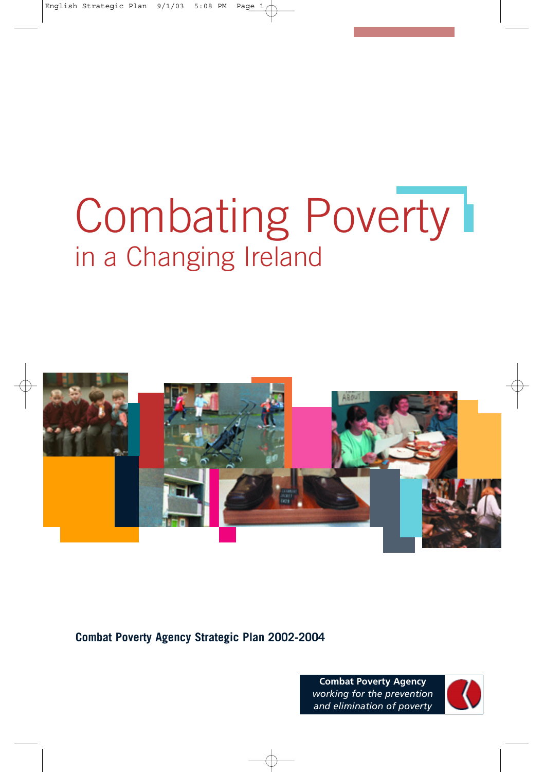# Combating Poverty I in a Changing Ireland



**Combat Poverty Agency Strategic Plan 2002-2004**

**Combat Poverty Agency** *working for the prevention and elimination of poverty*

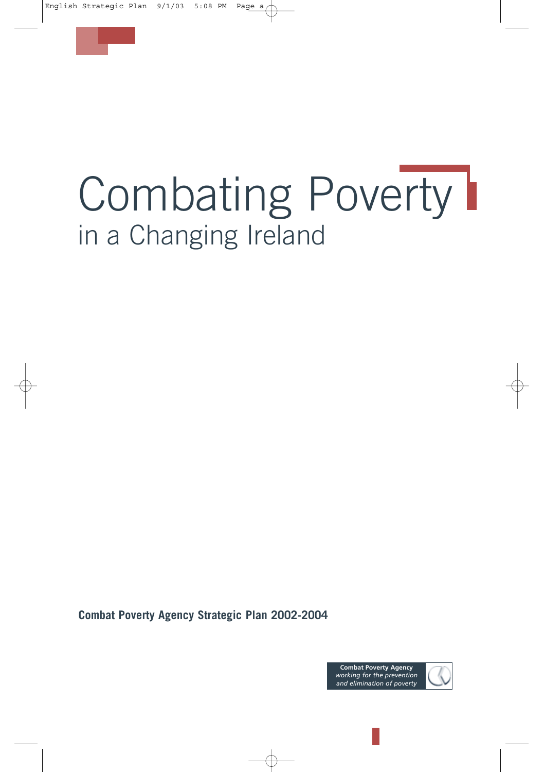

# Combating Poverty I in a Changing Ireland

**Combat Poverty Agency Strategic Plan 2002-2004**

**Combat Poverty Agency** *working for the prevention and elimination of poverty*

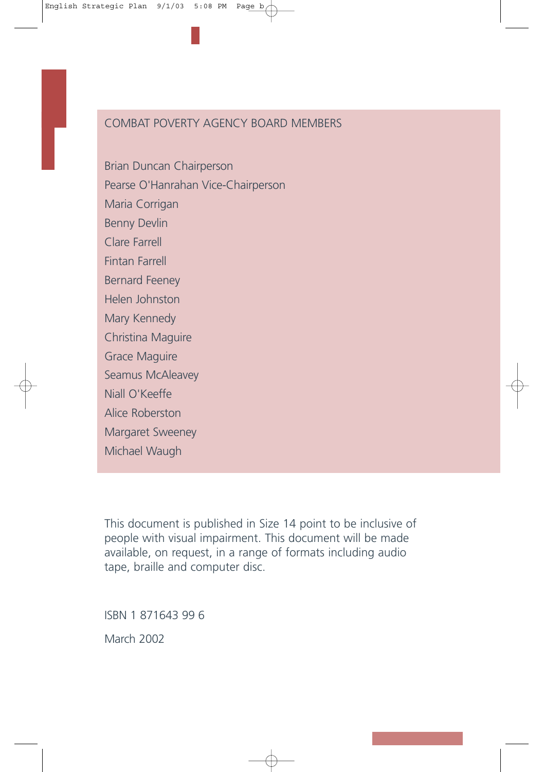#### COMBAT POVERTY AGENCY BOARD MEMBERS

Brian Duncan Chairperson Pearse O'Hanrahan Vice-Chairperson Maria Corrigan Benny Devlin Clare Farrell Fintan Farrell Bernard Feeney Helen Johnston Mary Kennedy Christina Maguire Grace Maguire Seamus McAleavey Niall O'Keeffe Alice Roberston Margaret Sweeney Michael Waugh

This document is published in Size 14 point to be inclusive of people with visual impairment. This document will be made available, on request, in a range of formats including audio tape, braille and computer disc.

ISBN 1 871643 99 6

March 2002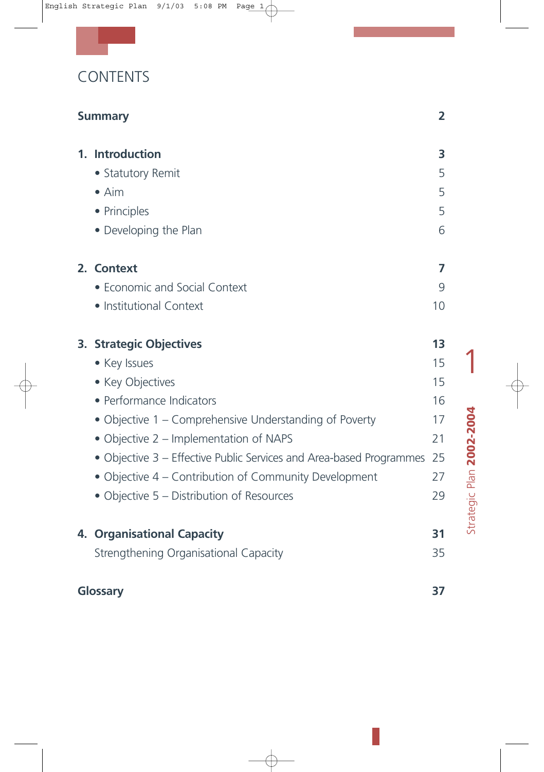| <b>CONTENTS</b> |  |  |  |  |
|-----------------|--|--|--|--|
|                 |  |  |  |  |

|    | <b>Summary</b>                                                                                                                                                                                                                                                                                                                                                                  | $\overline{2}$                                     |  |  |
|----|---------------------------------------------------------------------------------------------------------------------------------------------------------------------------------------------------------------------------------------------------------------------------------------------------------------------------------------------------------------------------------|----------------------------------------------------|--|--|
|    | 1. Introduction<br>• Statutory Remit<br>$\bullet$ Aim<br>• Principles<br>• Developing the Plan                                                                                                                                                                                                                                                                                  | 3<br>5<br>5<br>5<br>6                              |  |  |
|    | 2. Context<br>• Economic and Social Context<br>· Institutional Context                                                                                                                                                                                                                                                                                                          | 7<br>9<br>10                                       |  |  |
|    | <b>3. Strategic Objectives</b><br>• Key Issues<br>• Key Objectives<br>• Performance Indicators<br>• Objective 1 – Comprehensive Understanding of Poverty<br>• Objective 2 – Implementation of NAPS<br>• Objective 3 – Effective Public Services and Area-based Programmes<br>• Objective 4 – Contribution of Community Development<br>• Objective 5 – Distribution of Resources | 13<br>15<br>15<br>16<br>17<br>21<br>25<br>27<br>29 |  |  |
| 4. | <b>Organisational Capacity</b><br>Strengthening Organisational Capacity                                                                                                                                                                                                                                                                                                         | 31<br>35                                           |  |  |
|    | Glossary<br>37                                                                                                                                                                                                                                                                                                                                                                  |                                                    |  |  |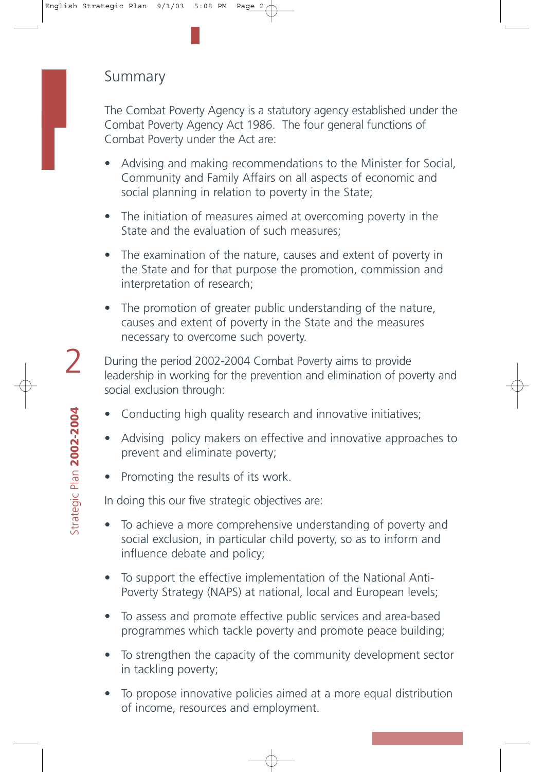## Summary

The Combat Poverty Agency is a statutory agency established under the Combat Poverty Agency Act 1986. The four general functions of Combat Poverty under the Act are:

- Advising and making recommendations to the Minister for Social, Community and Family Affairs on all aspects of economic and social planning in relation to poverty in the State;
- The initiation of measures aimed at overcoming poverty in the State and the evaluation of such measures;
- The examination of the nature, causes and extent of poverty in the State and for that purpose the promotion, commission and interpretation of research;
- The promotion of greater public understanding of the nature, causes and extent of poverty in the State and the measures necessary to overcome such poverty.

During the period 2002-2004 Combat Poverty aims to provide leadership in working for the prevention and elimination of poverty and social exclusion through:

- Conducting high quality research and innovative initiatives;
- Advising policy makers on effective and innovative approaches to prevent and eliminate poverty;
- Promoting the results of its work.

In doing this our five strategic objectives are:

- To achieve a more comprehensive understanding of poverty and social exclusion, in particular child poverty, so as to inform and influence debate and policy;
- To support the effective implementation of the National Anti-Poverty Strategy (NAPS) at national, local and European levels;
- To assess and promote effective public services and area-based programmes which tackle poverty and promote peace building;
- To strengthen the capacity of the community development sector in tackling poverty;
- To propose innovative policies aimed at a more equal distribution of income, resources and employment.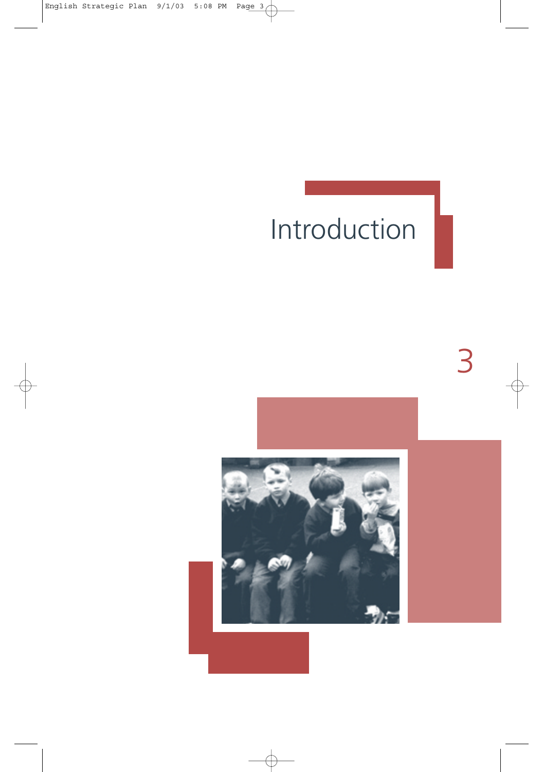## Introduction

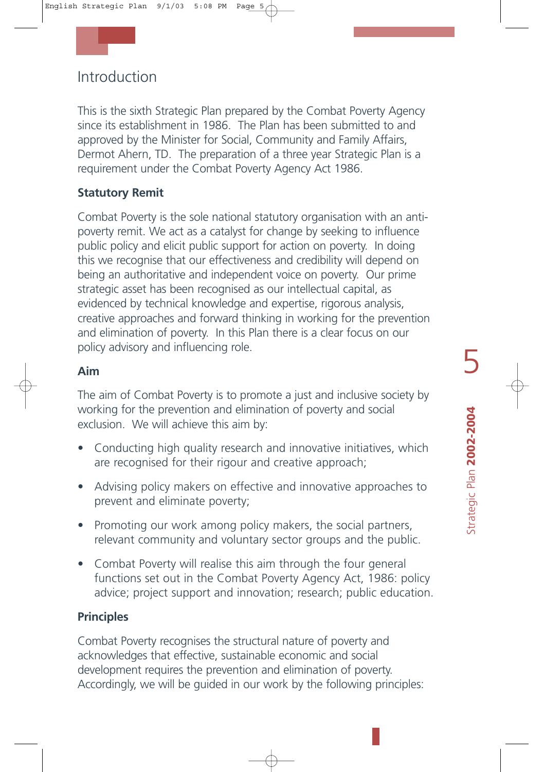## Introduction

This is the sixth Strategic Plan prepared by the Combat Poverty Agency since its establishment in 1986. The Plan has been submitted to and approved by the Minister for Social, Community and Family Affairs, Dermot Ahern, TD. The preparation of a three year Strategic Plan is a requirement under the Combat Poverty Agency Act 1986.

#### **Statutory Remit**

Combat Poverty is the sole national statutory organisation with an antipoverty remit. We act as a catalyst for change by seeking to influence public policy and elicit public support for action on poverty. In doing this we recognise that our effectiveness and credibility will depend on being an authoritative and independent voice on poverty. Our prime strategic asset has been recognised as our intellectual capital, as evidenced by technical knowledge and expertise, rigorous analysis, creative approaches and forward thinking in working for the prevention and elimination of poverty. In this Plan there is a clear focus on our policy advisory and influencing role.

#### **Aim**

The aim of Combat Poverty is to promote a just and inclusive society by working for the prevention and elimination of poverty and social exclusion. We will achieve this aim by:

- Conducting high quality research and innovative initiatives, which are recognised for their rigour and creative approach;
- Advising policy makers on effective and innovative approaches to prevent and eliminate poverty;
- Promoting our work among policy makers, the social partners, relevant community and voluntary sector groups and the public.
- Combat Poverty will realise this aim through the four general functions set out in the Combat Poverty Agency Act, 1986: policy advice; project support and innovation; research; public education.

#### **Principles**

Combat Poverty recognises the structural nature of poverty and acknowledges that effective, sustainable economic and social development requires the prevention and elimination of poverty. Accordingly, we will be guided in our work by the following principles: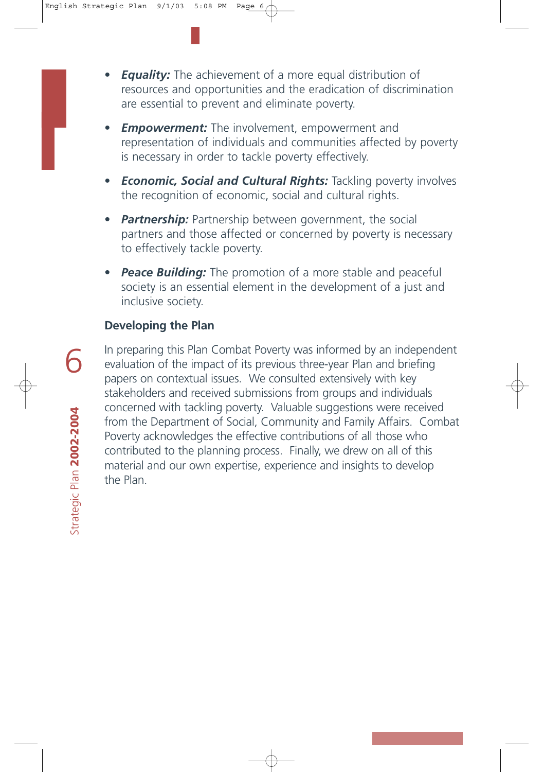- **Equality:** The achievement of a more equal distribution of resources and opportunities and the eradication of discrimination are essential to prevent and eliminate poverty.
- **Empowerment:** The involvement, empowerment and representation of individuals and communities affected by poverty is necessary in order to tackle poverty effectively.
- *Economic, Social and Cultural Rights:* Tackling poverty involves the recognition of economic, social and cultural rights.
- *Partnership:* Partnership between government, the social partners and those affected or concerned by poverty is necessary to effectively tackle poverty.
- *Peace Building:* The promotion of a more stable and peaceful society is an essential element in the development of a just and inclusive society.

#### **Developing the Plan**

In preparing this Plan Combat Poverty was informed by an independent evaluation of the impact of its previous three-year Plan and briefing papers on contextual issues. We consulted extensively with key stakeholders and received submissions from groups and individuals concerned with tackling poverty. Valuable suggestions were received from the Department of Social, Community and Family Affairs. Combat Poverty acknowledges the effective contributions of all those who contributed to the planning process. Finally, we drew on all of this material and our own expertise, experience and insights to develop the Plan.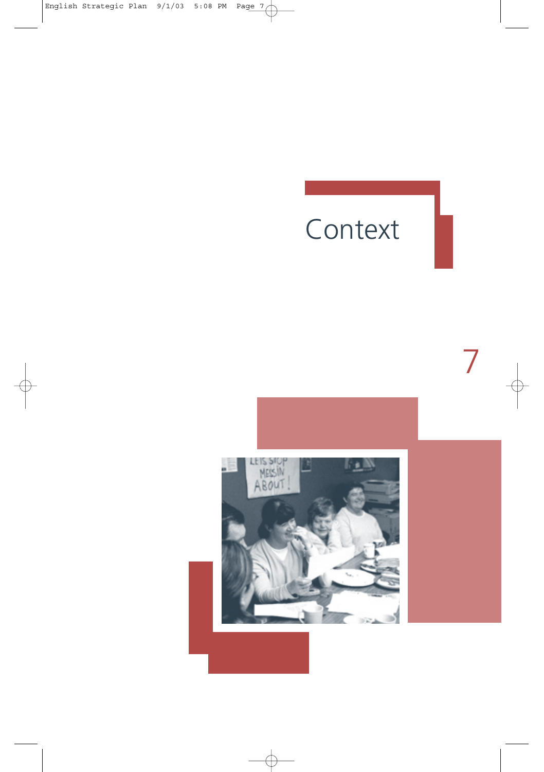## Context

NESSIOP<br>NESSIN<br>ABOUT  $\mathbb{F}_2$  N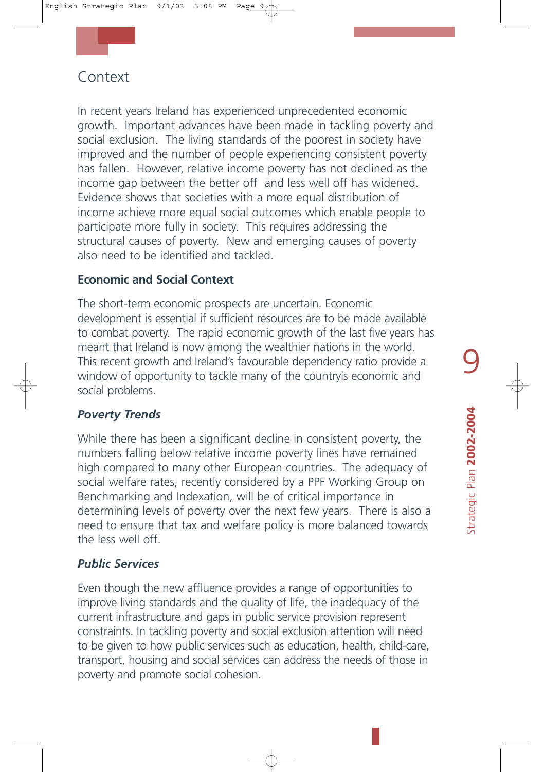## Context

In recent years Ireland has experienced unprecedented economic growth. Important advances have been made in tackling poverty and social exclusion. The living standards of the poorest in society have improved and the number of people experiencing consistent poverty has fallen. However, relative income poverty has not declined as the income gap between the better off and less well off has widened. Evidence shows that societies with a more equal distribution of income achieve more equal social outcomes which enable people to participate more fully in society. This requires addressing the structural causes of poverty. New and emerging causes of poverty also need to be identified and tackled.

#### **Economic and Social Context**

The short-term economic prospects are uncertain. Economic development is essential if sufficient resources are to be made available to combat poverty. The rapid economic growth of the last five years has meant that Ireland is now among the wealthier nations in the world. This recent growth and Ireland's favourable dependency ratio provide a window of opportunity to tackle many of the countryís economic and social problems.

#### *Poverty Trends*

While there has been a significant decline in consistent poverty, the numbers falling below relative income poverty lines have remained high compared to many other European countries. The adequacy of social welfare rates, recently considered by a PPF Working Group on Benchmarking and Indexation, will be of critical importance in determining levels of poverty over the next few years. There is also a need to ensure that tax and welfare policy is more balanced towards the less well off.

#### *Public Services*

Even though the new affluence provides a range of opportunities to improve living standards and the quality of life, the inadequacy of the current infrastructure and gaps in public service provision represent constraints. In tackling poverty and social exclusion attention will need to be given to how public services such as education, health, child-care, transport, housing and social services can address the needs of those in poverty and promote social cohesion.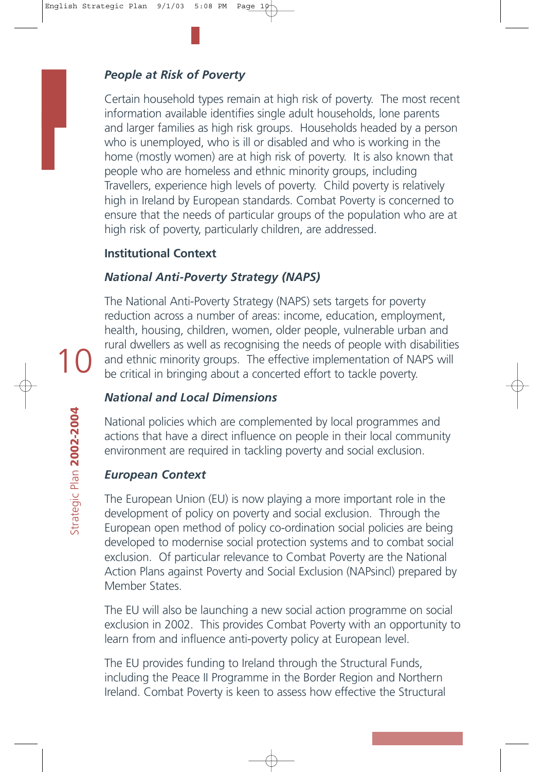#### *People at Risk of Poverty*

Certain household types remain at high risk of poverty. The most recent information available identifies single adult households, lone parents and larger families as high risk groups. Households headed by a person who is unemployed, who is ill or disabled and who is working in the home (mostly women) are at high risk of poverty. It is also known that people who are homeless and ethnic minority groups, including Travellers, experience high levels of poverty. Child poverty is relatively high in Ireland by European standards. Combat Poverty is concerned to ensure that the needs of particular groups of the population who are at high risk of poverty, particularly children, are addressed.

#### **Institutional Context**

#### *National Anti-Poverty Strategy (NAPS)*

The National Anti-Poverty Strategy (NAPS) sets targets for poverty reduction across a number of areas: income, education, employment, health, housing, children, women, older people, vulnerable urban and rural dwellers as well as recognising the needs of people with disabilities and ethnic minority groups. The effective implementation of NAPS will be critical in bringing about a concerted effort to tackle poverty.

#### *National and Local Dimensions*

National policies which are complemented by local programmes and actions that have a direct influence on people in their local community environment are required in tackling poverty and social exclusion.

#### *European Context*

The European Union (EU) is now playing a more important role in the development of policy on poverty and social exclusion. Through the European open method of policy co-ordination social policies are being developed to modernise social protection systems and to combat social exclusion. Of particular relevance to Combat Poverty are the National Action Plans against Poverty and Social Exclusion (NAPsincl) prepared by Member States.

The EU will also be launching a new social action programme on social exclusion in 2002. This provides Combat Poverty with an opportunity to learn from and influence anti-poverty policy at European level.

The EU provides funding to Ireland through the Structural Funds, including the Peace II Programme in the Border Region and Northern Ireland. Combat Poverty is keen to assess how effective the Structural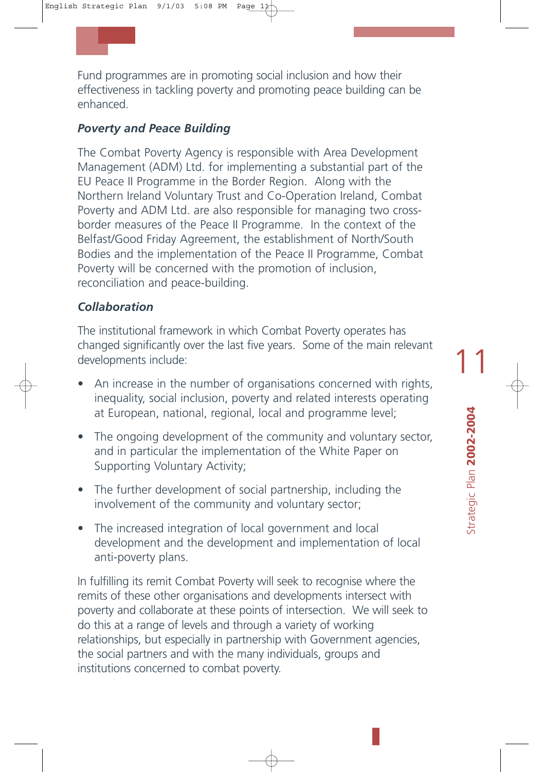Fund programmes are in promoting social inclusion and how their effectiveness in tackling poverty and promoting peace building can be enhanced.

#### *Poverty and Peace Building*

The Combat Poverty Agency is responsible with Area Development Management (ADM) Ltd. for implementing a substantial part of the EU Peace II Programme in the Border Region. Along with the Northern Ireland Voluntary Trust and Co-Operation Ireland, Combat Poverty and ADM Ltd. are also responsible for managing two crossborder measures of the Peace II Programme. In the context of the Belfast/Good Friday Agreement, the establishment of North/South Bodies and the implementation of the Peace II Programme, Combat Poverty will be concerned with the promotion of inclusion, reconciliation and peace-building.

#### *Collaboration*

The institutional framework in which Combat Poverty operates has changed significantly over the last five years. Some of the main relevant developments include:

- An increase in the number of organisations concerned with rights, inequality, social inclusion, poverty and related interests operating at European, national, regional, local and programme level;
- The ongoing development of the community and voluntary sector, and in particular the implementation of the White Paper on Supporting Voluntary Activity;
- The further development of social partnership, including the involvement of the community and voluntary sector;
- The increased integration of local government and local development and the development and implementation of local anti-poverty plans.

In fulfilling its remit Combat Poverty will seek to recognise where the remits of these other organisations and developments intersect with poverty and collaborate at these points of intersection. We will seek to do this at a range of levels and through a variety of working relationships, but especially in partnership with Government agencies, the social partners and with the many individuals, groups and institutions concerned to combat poverty.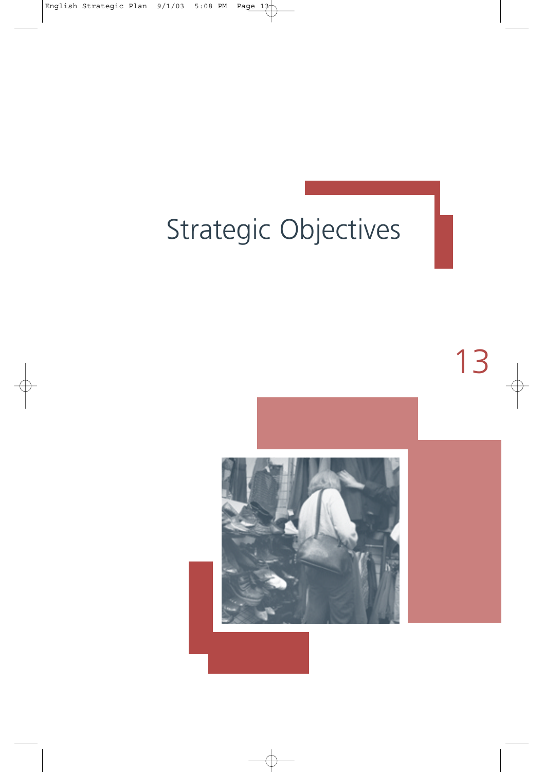## Strategic Objectives

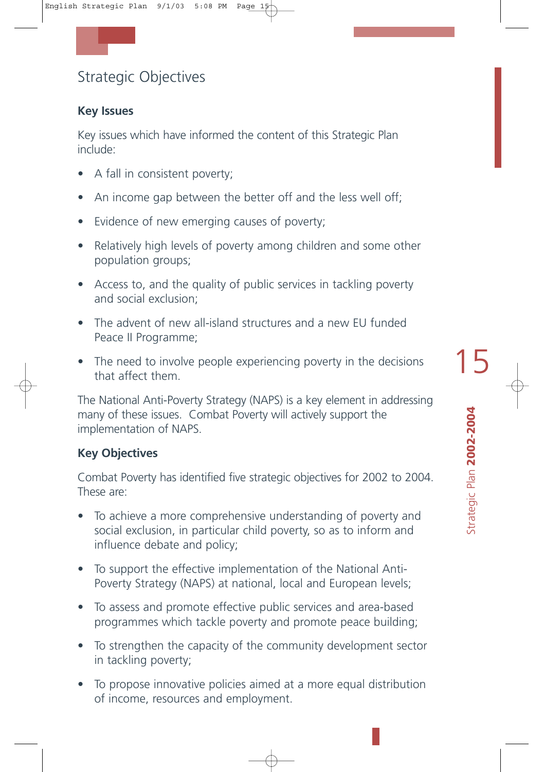## Strategic Objectives

#### **Key Issues**

Key issues which have informed the content of this Strategic Plan include:

- A fall in consistent poverty;
- An income gap between the better off and the less well off;
- Evidence of new emerging causes of poverty;
- Relatively high levels of poverty among children and some other population groups;
- Access to, and the quality of public services in tackling poverty and social exclusion;
- The advent of new all-island structures and a new EU funded Peace II Programme;
- The need to involve people experiencing poverty in the decisions that affect them.

The National Anti-Poverty Strategy (NAPS) is a key element in addressing many of these issues. Combat Poverty will actively support the implementation of NAPS.

#### **Key Objectives**

Combat Poverty has identified five strategic objectives for 2002 to 2004. These are:

- To achieve a more comprehensive understanding of poverty and social exclusion, in particular child poverty, so as to inform and influence debate and policy;
- To support the effective implementation of the National Anti-Poverty Strategy (NAPS) at national, local and European levels;
- To assess and promote effective public services and area-based programmes which tackle poverty and promote peace building;
- To strengthen the capacity of the community development sector in tackling poverty;
- To propose innovative policies aimed at a more equal distribution of income, resources and employment.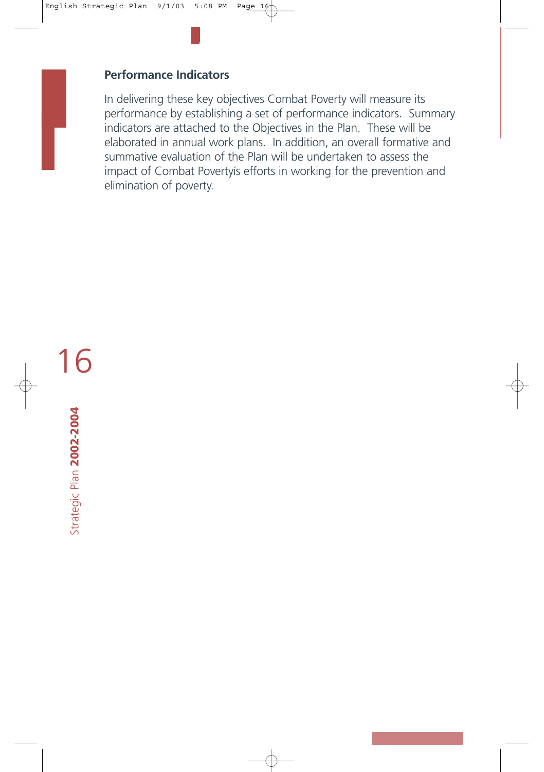#### **Performance Indicators**

In delivering these key objectives Combat Poverty will measure its performance by establishing a set of performance indicators. Summary indicators are attached to the Objectives in the Plan. These will be elaborated in annual work plans. In addition, an overall formative and summative evaluation of the Plan will be undertaken to assess the impact of Combat Povertyís efforts in working for the prevention and elimination of poverty.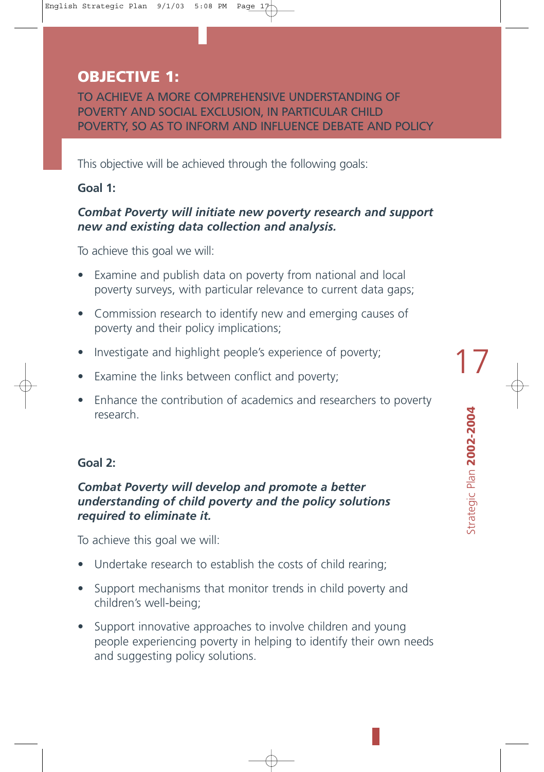## **OBJECTIVE 1:**

TO ACHIEVE A MORE COMPREHENSIVE UNDERSTANDING OF POVERTY AND SOCIAL EXCLUSION, IN PARTICULAR CHILD POVERTY, SO AS TO INFORM AND INFLUENCE DEBATE AND POLICY

This objective will be achieved through the following goals:

#### **Goal 1:**

#### *Combat Poverty will initiate new poverty research and support new and existing data collection and analysis.*

To achieve this goal we will:

- Examine and publish data on poverty from national and local poverty surveys, with particular relevance to current data gaps;
- Commission research to identify new and emerging causes of poverty and their policy implications;
- Investigate and highlight people's experience of poverty;
- Examine the links between conflict and poverty;
- Enhance the contribution of academics and researchers to poverty research.

#### **Goal 2:**

#### *Combat Poverty will develop and promote a better understanding of child poverty and the policy solutions required to eliminate it.*

To achieve this goal we will:

- Undertake research to establish the costs of child rearing;
- Support mechanisms that monitor trends in child poverty and children's well-being;
- Support innovative approaches to involve children and young people experiencing poverty in helping to identify their own needs and suggesting policy solutions.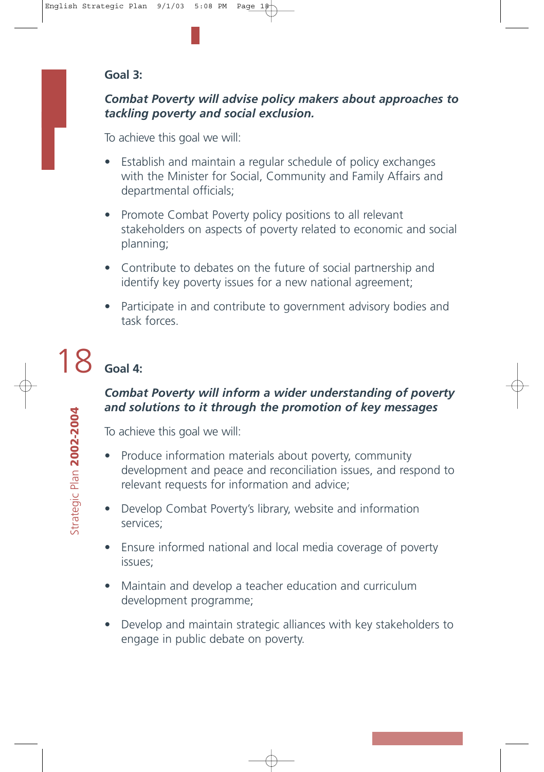#### **Goal 3:**

#### *Combat Poverty will advise policy makers about approaches to tackling poverty and social exclusion.*

To achieve this goal we will:

- Establish and maintain a regular schedule of policy exchanges with the Minister for Social, Community and Family Affairs and departmental officials;
- Promote Combat Poverty policy positions to all relevant stakeholders on aspects of poverty related to economic and social planning;
- Contribute to debates on the future of social partnership and identify key poverty issues for a new national agreement;
- Participate in and contribute to government advisory bodies and task forces.

#### 18**Goal 4:**

#### *Combat Poverty will inform a wider understanding of poverty and solutions to it through the promotion of key messages*

To achieve this goal we will:

- Produce information materials about poverty, community development and peace and reconciliation issues, and respond to relevant requests for information and advice;
- Develop Combat Poverty's library, website and information services;
- Ensure informed national and local media coverage of poverty issues;
- Maintain and develop a teacher education and curriculum development programme;
- Develop and maintain strategic alliances with key stakeholders to engage in public debate on poverty.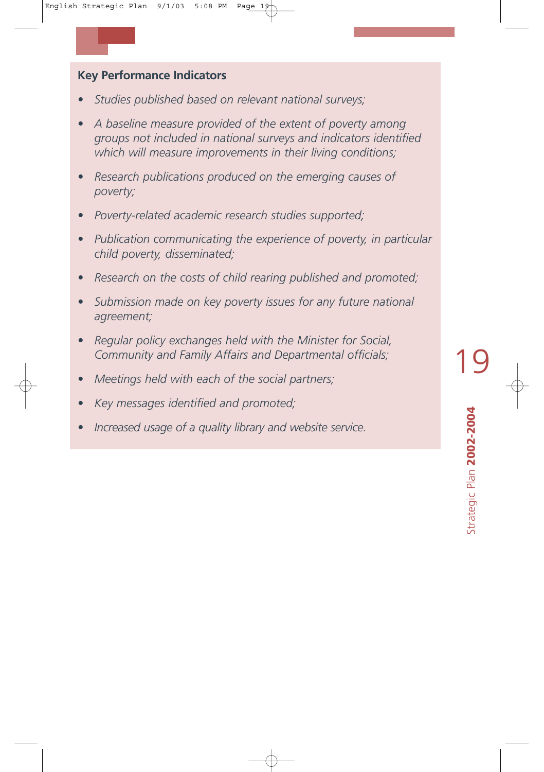#### **Key Performance Indicators**

- *Studies published based on relevant national surveys;*
- *A baseline measure provided of the extent of poverty among groups not included in national surveys and indicators identified which will measure improvements in their living conditions;*
- *Research publications produced on the emerging causes of poverty;*
- *Poverty-related academic research studies supported;*
- *Publication communicating the experience of poverty, in particular child poverty, disseminated;*
- *Research on the costs of child rearing published and promoted;*
- *Submission made on key poverty issues for any future national agreement;*
- *Regular policy exchanges held with the Minister for Social, Community and Family Affairs and Departmental officials;*
- *Meetings held with each of the social partners;*
- *Key messages identified and promoted;*
- *Increased usage of a quality library and website service.*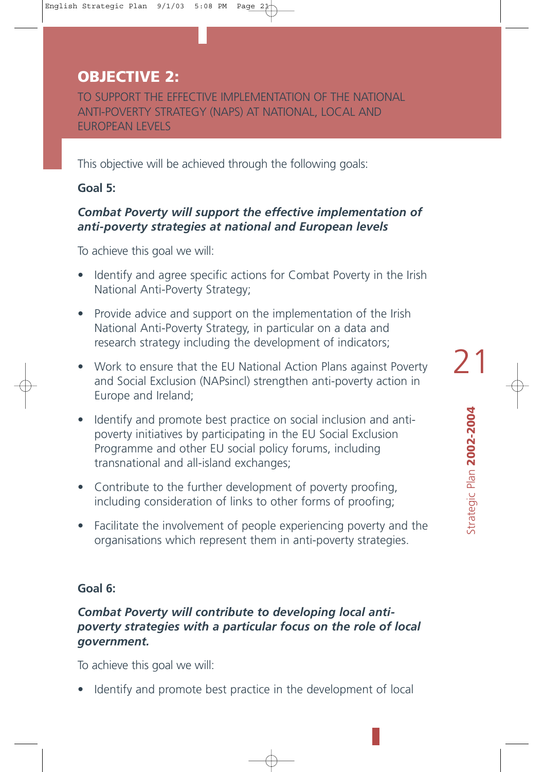## **OBJECTIVE 2:**

TO SUPPORT THE EFFECTIVE IMPLEMENTATION OF THE NATIONAL ANTI-POVERTY STRATEGY (NAPS) AT NATIONAL, LOCAL AND EUROPEAN LEVELS

This objective will be achieved through the following goals:

#### **Goal 5:**

#### *Combat Poverty will support the effective implementation of anti-poverty strategies at national and European levels*

To achieve this goal we will:

- Identify and agree specific actions for Combat Poverty in the Irish National Anti-Poverty Strategy;
- Provide advice and support on the implementation of the Irish National Anti-Poverty Strategy, in particular on a data and research strategy including the development of indicators;
- Work to ensure that the EU National Action Plans against Poverty and Social Exclusion (NAPsincl) strengthen anti-poverty action in Europe and Ireland;
- Identify and promote best practice on social inclusion and antipoverty initiatives by participating in the EU Social Exclusion Programme and other EU social policy forums, including transnational and all-island exchanges;
- Contribute to the further development of poverty proofing, including consideration of links to other forms of proofing;
- Facilitate the involvement of people experiencing poverty and the organisations which represent them in anti-poverty strategies.

#### **Goal 6:**

#### *Combat Poverty will contribute to developing local antipoverty strategies with a particular focus on the role of local government.*

To achieve this goal we will:

Identify and promote best practice in the development of local

Strategic Plan **2002-2004** 

Strategic Plan 2002-2004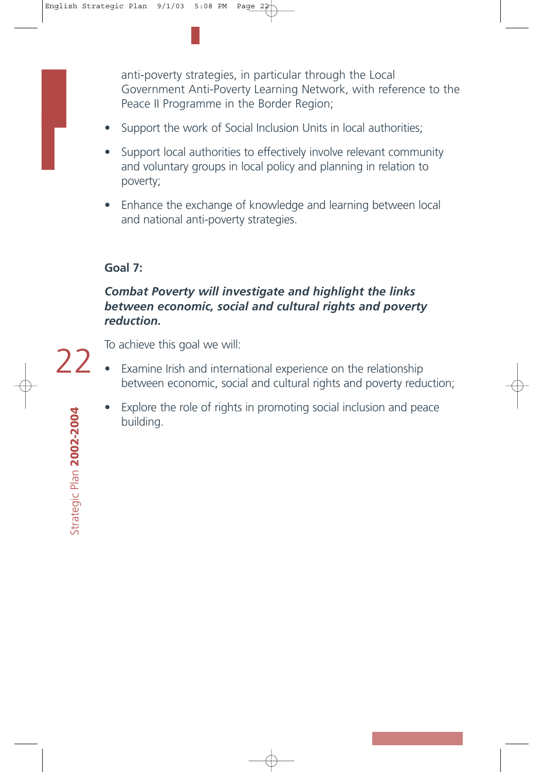anti-poverty strategies, in particular through the Local Government Anti-Poverty Learning Network, with reference to the Peace II Programme in the Border Region;

- Support the work of Social Inclusion Units in local authorities;
- Support local authorities to effectively involve relevant community and voluntary groups in local policy and planning in relation to poverty;
- Enhance the exchange of knowledge and learning between local and national anti-poverty strategies.

#### **Goal 7:**

#### *Combat Poverty will investigate and highlight the links between economic, social and cultural rights and poverty reduction.*

22

To achieve this goal we will:

- Examine Irish and international experience on the relationship between economic, social and cultural rights and poverty reduction;
	- Explore the role of rights in promoting social inclusion and peace building.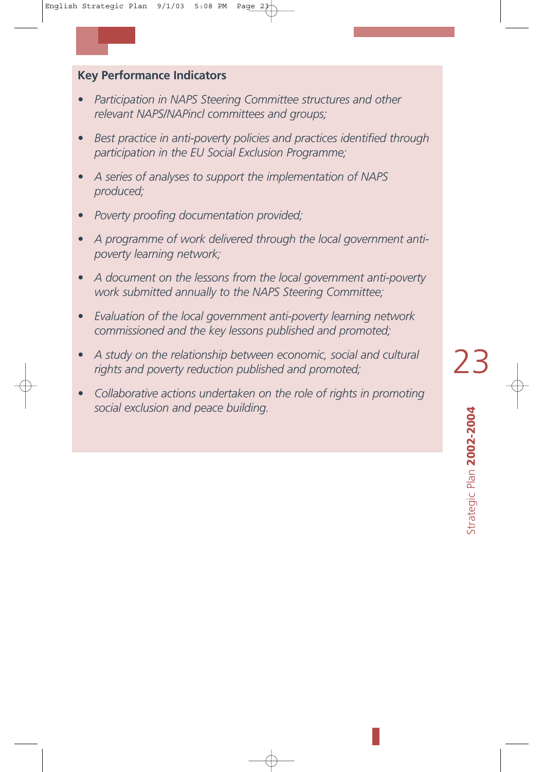#### **Key Performance Indicators**

- *Participation in NAPS Steering Committee structures and other relevant NAPS/NAPincl committees and groups;*
- *Best practice in anti-poverty policies and practices identified through participation in the EU Social Exclusion Programme;*
- *A series of analyses to support the implementation of NAPS produced;*
- *Poverty proofing documentation provided;*
- *A programme of work delivered through the local government antipoverty learning network;*
- *A document on the lessons from the local government anti-poverty work submitted annually to the NAPS Steering Committee;*
- *Evaluation of the local government anti-poverty learning network commissioned and the key lessons published and promoted;*
- *A study on the relationship between economic, social and cultural rights and poverty reduction published and promoted;*
- *Collaborative actions undertaken on the role of rights in promoting social exclusion and peace building.*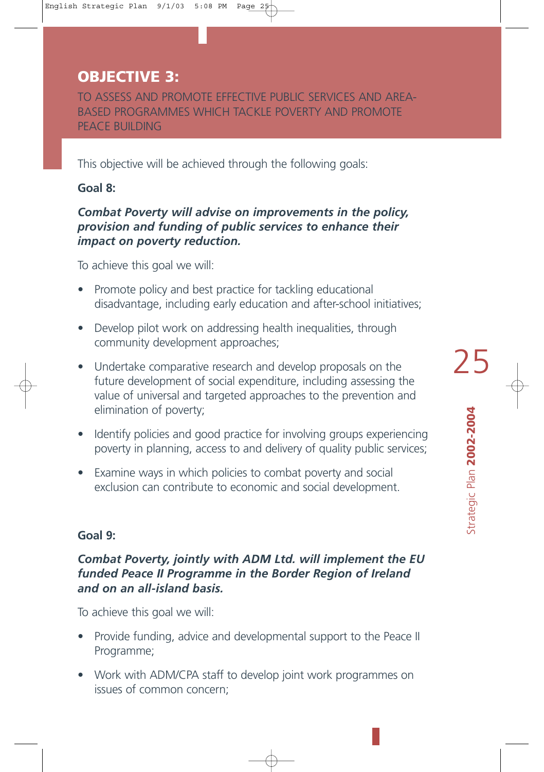## **OBJECTIVE 3:**

TO ASSESS AND PROMOTE EFFECTIVE PUBLIC SERVICES AND AREA-BASED PROGRAMMES WHICH TACKLE POVERTY AND PROMOTE PEACE BUILDING

This objective will be achieved through the following goals:

#### **Goal 8:**

#### *Combat Poverty will advise on improvements in the policy, provision and funding of public services to enhance their impact on poverty reduction.*

To achieve this goal we will:

- Promote policy and best practice for tackling educational disadvantage, including early education and after-school initiatives;
- Develop pilot work on addressing health inequalities, through community development approaches;
- Undertake comparative research and develop proposals on the future development of social expenditure, including assessing the value of universal and targeted approaches to the prevention and elimination of poverty;
- Identify policies and good practice for involving groups experiencing poverty in planning, access to and delivery of quality public services;
- Examine ways in which policies to combat poverty and social exclusion can contribute to economic and social development.

#### **Goal 9:**

#### *Combat Poverty, jointly with ADM Ltd. will implement the EU funded Peace II Programme in the Border Region of Ireland and on an all-island basis.*

To achieve this goal we will:

- Provide funding, advice and developmental support to the Peace II Programme;
- Work with ADM/CPA staff to develop joint work programmes on issues of common concern;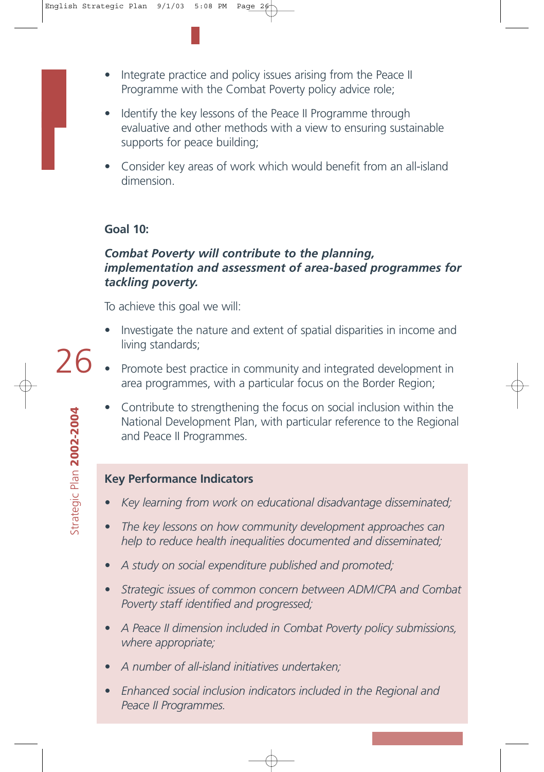- Integrate practice and policy issues arising from the Peace II Programme with the Combat Poverty policy advice role;
- Identify the key lessons of the Peace II Programme through evaluative and other methods with a view to ensuring sustainable supports for peace building;
- Consider key areas of work which would benefit from an all-island dimension.

#### **Goal 10:**

#### *Combat Poverty will contribute to the planning, implementation and assessment of area-based programmes for tackling poverty.*

To achieve this goal we will:

- Investigate the nature and extent of spatial disparities in income and living standards;
- Promote best practice in community and integrated development in area programmes, with a particular focus on the Border Region;
	- Contribute to strengthening the focus on social inclusion within the National Development Plan, with particular reference to the Regional and Peace II Programmes.

#### **Key Performance Indicators**

- *Key learning from work on educational disadvantage disseminated;*
- *The key lessons on how community development approaches can help to reduce health inequalities documented and disseminated;*
- *A study on social expenditure published and promoted;*
- *Strategic issues of common concern between ADM/CPA and Combat Poverty staff identified and progressed;*
- *A Peace II dimension included in Combat Poverty policy submissions, where appropriate;*
- *A number of all-island initiatives undertaken;*
- *Enhanced social inclusion indicators included in the Regional and Peace II Programmes.*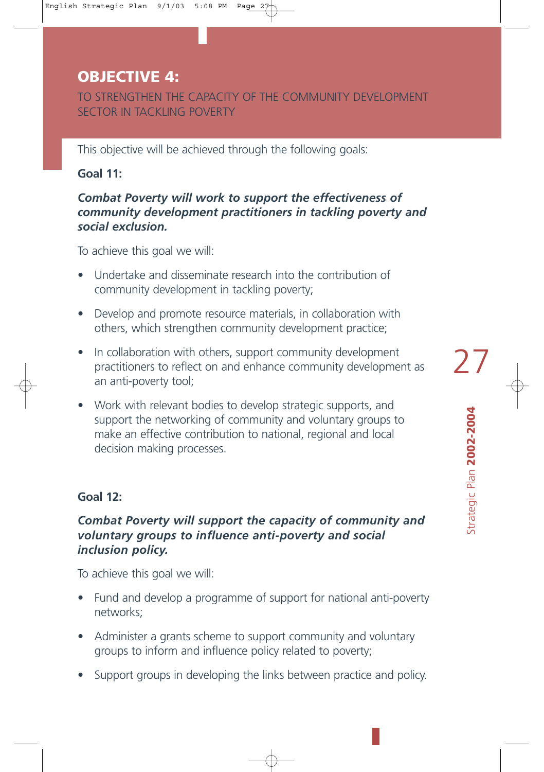### **OBJECTIVE 4:**

TO STRENGTHEN THE CAPACITY OF THE COMMUNITY DEVELOPMENT SECTOR IN TACKLING POVERTY

This objective will be achieved through the following goals:

#### **Goal 11:**

#### *Combat Poverty will work to support the effectiveness of community development practitioners in tackling poverty and social exclusion.*

To achieve this goal we will:

- Undertake and disseminate research into the contribution of community development in tackling poverty;
- Develop and promote resource materials, in collaboration with others, which strengthen community development practice;
- In collaboration with others, support community development practitioners to reflect on and enhance community development as an anti-poverty tool;
- Work with relevant bodies to develop strategic supports, and support the networking of community and voluntary groups to make an effective contribution to national, regional and local decision making processes.

#### **Goal 12:**

#### *Combat Poverty will support the capacity of community and voluntary groups to influence anti-poverty and social inclusion policy.*

To achieve this goal we will:

- Fund and develop a programme of support for national anti-poverty networks;
- Administer a grants scheme to support community and voluntary groups to inform and influence policy related to poverty;
- Support groups in developing the links between practice and policy.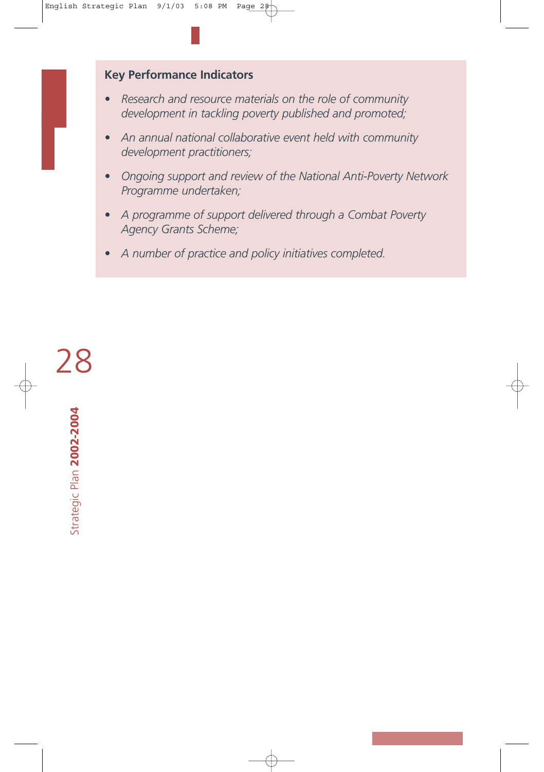#### **Key Performance Indicators**

- *Research and resource materials on the role of community development in tackling poverty published and promoted;*
- *An annual national collaborative event held with community development practitioners;*
- *Ongoing support and review of the National Anti-Poverty Network Programme undertaken;*
- *A programme of support delivered through a Combat Poverty Agency Grants Scheme;*
- *A number of practice and policy initiatives completed.*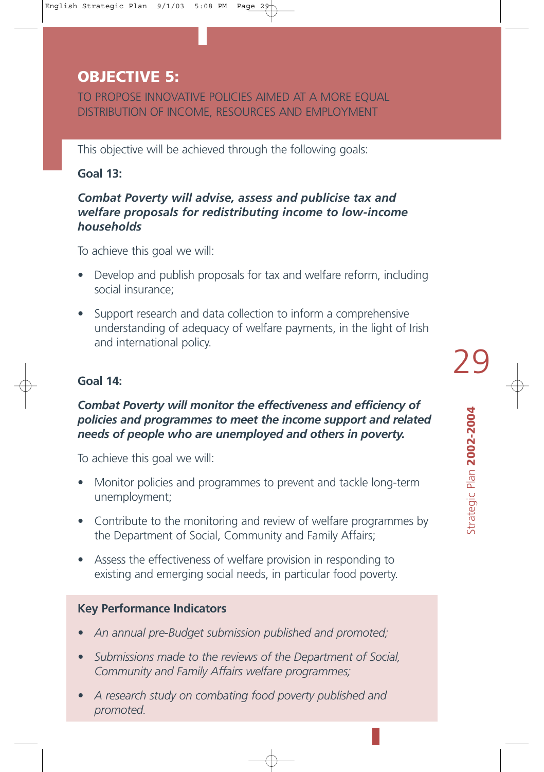### **OBJECTIVE 5:**

TO PROPOSE INNOVATIVE POLICIES AIMED AT A MORE EQUAL DISTRIBUTION OF INCOME, RESOURCES AND EMPLOYMENT

This objective will be achieved through the following goals:

#### **Goal 13:**

#### *Combat Poverty will advise, assess and publicise tax and welfare proposals for redistributing income to low-income households*

To achieve this goal we will:

- Develop and publish proposals for tax and welfare reform, including social insurance;
- Support research and data collection to inform a comprehensive understanding of adequacy of welfare payments, in the light of Irish and international policy.

#### **Goal 14:**

#### *Combat Poverty will monitor the effectiveness and efficiency of policies and programmes to meet the income support and related needs of people who are unemployed and others in poverty.*

To achieve this goal we will:

- Monitor policies and programmes to prevent and tackle long-term unemployment;
- Contribute to the monitoring and review of welfare programmes by the Department of Social, Community and Family Affairs;
- Assess the effectiveness of welfare provision in responding to existing and emerging social needs, in particular food poverty.

#### **Key Performance Indicators**

- *An annual pre-Budget submission published and promoted;*
- *Submissions made to the reviews of the Department of Social, Community and Family Affairs welfare programmes;*
- *A research study on combating food poverty published and promoted.*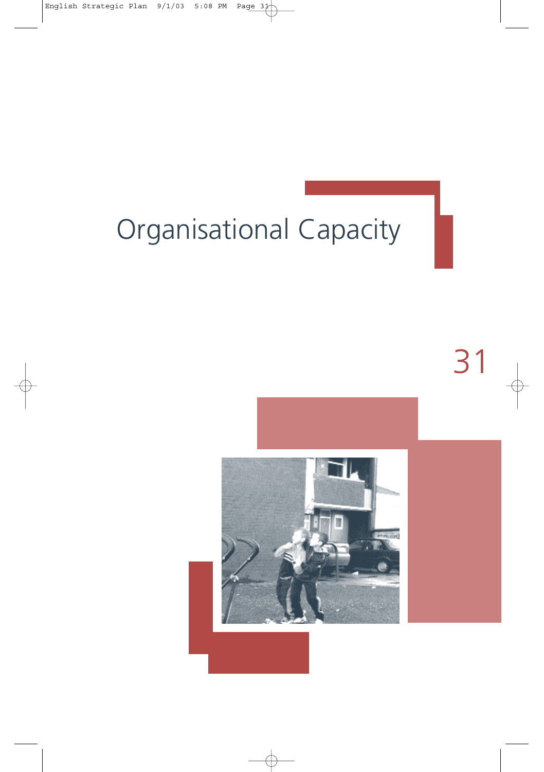## Organisational Capacity

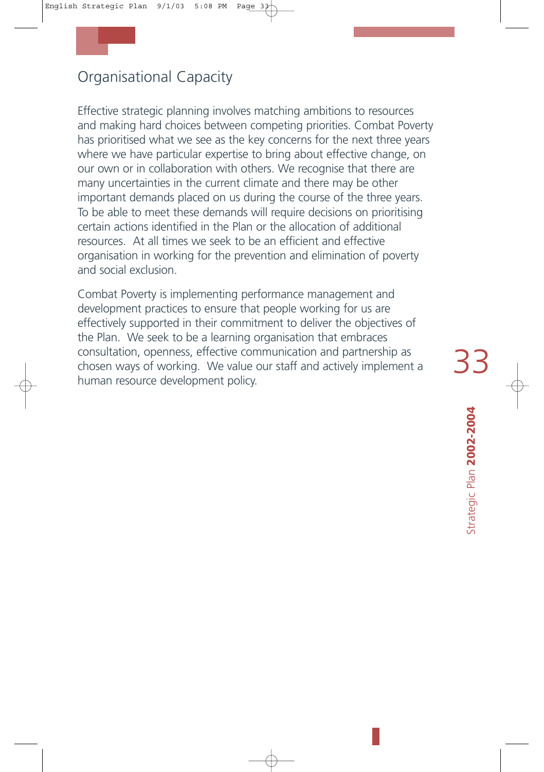## Organisational Capacity

Effective strategic planning involves matching ambitions to resources and making hard choices between competing priorities. Combat Poverty has prioritised what we see as the key concerns for the next three years where we have particular expertise to bring about effective change, on our own or in collaboration with others. We recognise that there are many uncertainties in the current climate and there may be other important demands placed on us during the course of the three years. To be able to meet these demands will require decisions on prioritising certain actions identified in the Plan or the allocation of additional resources. At all times we seek to be an efficient and effective organisation in working for the prevention and elimination of poverty and social exclusion.

Combat Poverty is implementing performance management and development practices to ensure that people working for us are effectively supported in their commitment to deliver the objectives of the Plan. We seek to be a learning organisation that embraces consultation, openness, effective communication and partnership as chosen ways of working. We value our staff and actively implement a human resource development policy.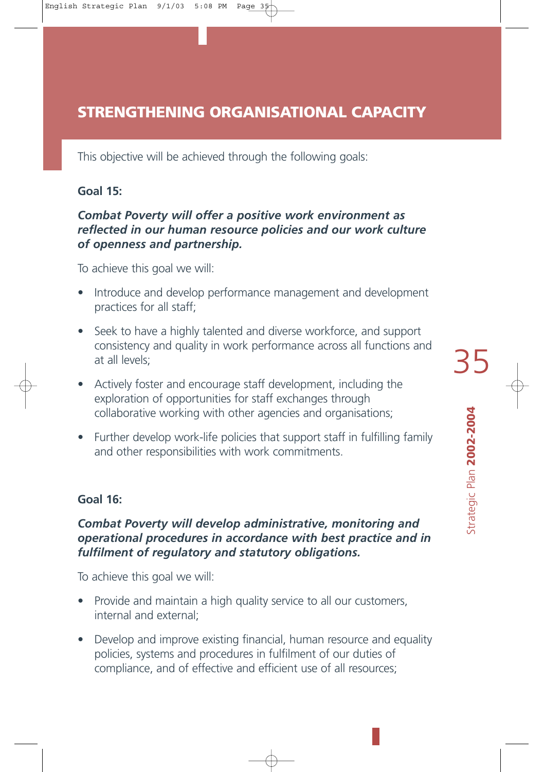## **STRENGTHENING ORGANISATIONAL CAPACITY**

This objective will be achieved through the following goals:

#### **Goal 15:**

#### *Combat Poverty will offer a positive work environment as reflected in our human resource policies and our work culture of openness and partnership.*

To achieve this goal we will:

- Introduce and develop performance management and development practices for all staff;
- Seek to have a highly talented and diverse workforce, and support consistency and quality in work performance across all functions and at all levels;
- Actively foster and encourage staff development, including the exploration of opportunities for staff exchanges through collaborative working with other agencies and organisations;
- Further develop work-life policies that support staff in fulfilling family and other responsibilities with work commitments.

#### **Goal 16:**

#### *Combat Poverty will develop administrative, monitoring and operational procedures in accordance with best practice and in fulfilment of regulatory and statutory obligations.*

To achieve this goal we will:

- Provide and maintain a high quality service to all our customers, internal and external;
- Develop and improve existing financial, human resource and equality policies, systems and procedures in fulfilment of our duties of compliance, and of effective and efficient use of all resources;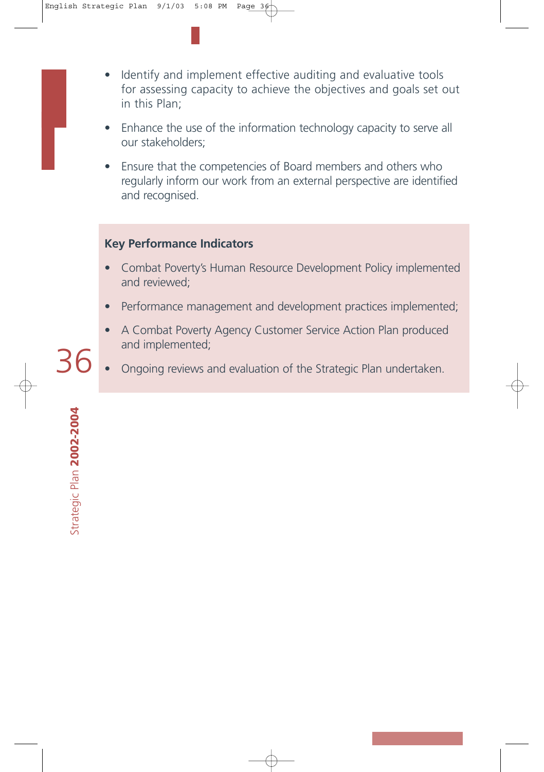- Identify and implement effective auditing and evaluative tools for assessing capacity to achieve the objectives and goals set out in this Plan;
- Enhance the use of the information technology capacity to serve all our stakeholders;
- Ensure that the competencies of Board members and others who regularly inform our work from an external perspective are identified and recognised.

#### **Key Performance Indicators**

- Combat Poverty's Human Resource Development Policy implemented and reviewed;
- Performance management and development practices implemented;
- A Combat Poverty Agency Customer Service Action Plan produced and implemented;<br> $36 \cdot$  Ongoing reviews and evaluation of the Strategic Plan undertaken.
	-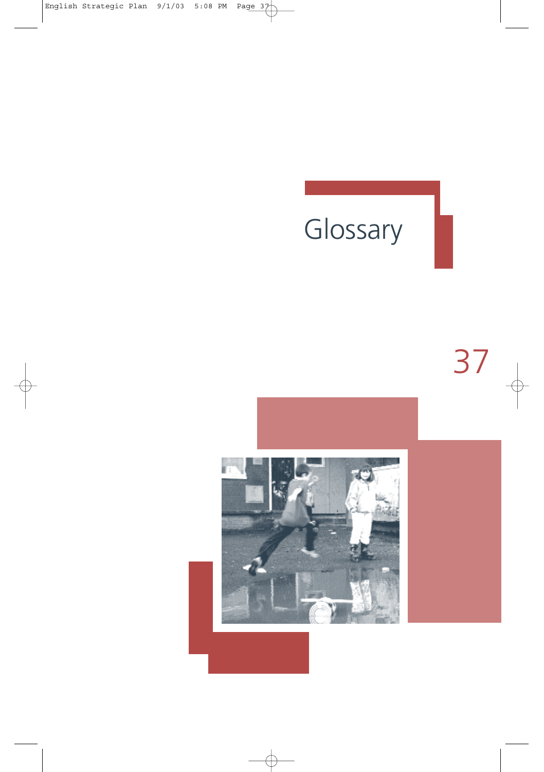## Glossary

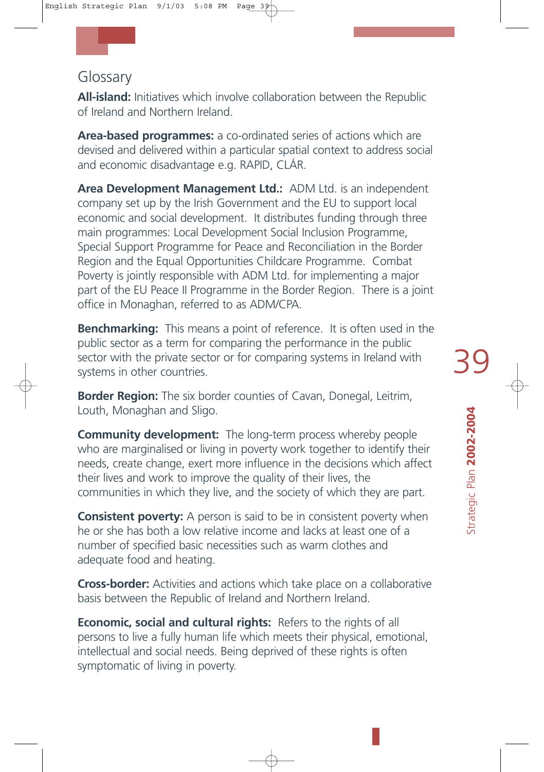## Glossary

**All-island:** Initiatives which involve collaboration between the Republic of Ireland and Northern Ireland.

**Area-based programmes:** a co-ordinated series of actions which are devised and delivered within a particular spatial context to address social and economic disadvantage e.g. RAPID, CLÁR.

**Area Development Management Ltd.:** ADM Ltd. is an independent company set up by the Irish Government and the EU to support local economic and social development. It distributes funding through three main programmes: Local Development Social Inclusion Programme, Special Support Programme for Peace and Reconciliation in the Border Region and the Equal Opportunities Childcare Programme. Combat Poverty is jointly responsible with ADM Ltd. for implementing a major part of the EU Peace II Programme in the Border Region. There is a joint office in Monaghan, referred to as ADM/CPA.

**Benchmarking:** This means a point of reference. It is often used in the public sector as a term for comparing the performance in the public sector with the private sector or for comparing systems in Ireland with systems in other countries.

**Border Region:** The six border counties of Cavan, Donegal, Leitrim, Louth, Monaghan and Sligo.

**Community development:** The long-term process whereby people who are marginalised or living in poverty work together to identify their needs, create change, exert more influence in the decisions which affect their lives and work to improve the quality of their lives, the communities in which they live, and the society of which they are part.

**Consistent poverty:** A person is said to be in consistent poverty when he or she has both a low relative income and lacks at least one of a number of specified basic necessities such as warm clothes and adequate food and heating.

**Cross-border:** Activities and actions which take place on a collaborative basis between the Republic of Ireland and Northern Ireland.

**Economic, social and cultural rights:** Refers to the rights of all persons to live a fully human life which meets their physical, emotional, intellectual and social needs. Being deprived of these rights is often symptomatic of living in poverty.

Strategic Plan **2002-2004** 

Strategic Plan 2002-2004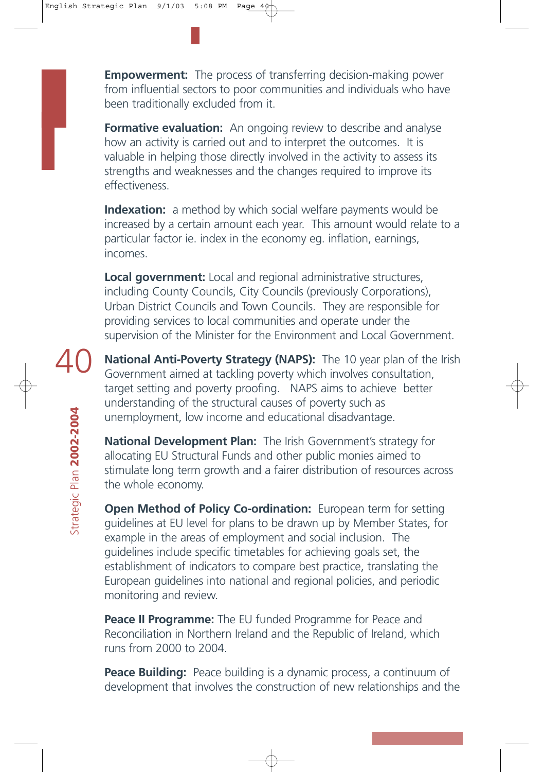**Empowerment:** The process of transferring decision-making power from influential sectors to poor communities and individuals who have been traditionally excluded from it.

**Formative evaluation:** An ongoing review to describe and analyse how an activity is carried out and to interpret the outcomes. It is valuable in helping those directly involved in the activity to assess its strengths and weaknesses and the changes required to improve its effectiveness.

**Indexation:** a method by which social welfare payments would be increased by a certain amount each year. This amount would relate to a particular factor ie. index in the economy eg. inflation, earnings, incomes.

**Local government:** Local and regional administrative structures, including County Councils, City Councils (previously Corporations), Urban District Councils and Town Councils. They are responsible for providing services to local communities and operate under the supervision of the Minister for the Environment and Local Government.

**National Anti-Poverty Strategy (NAPS):** The 10 year plan of the Irish Government aimed at tackling poverty which involves consultation, target setting and poverty proofing. NAPS aims to achieve better understanding of the structural causes of poverty such as unemployment, low income and educational disadvantage.

**National Development Plan:** The Irish Government's strategy for allocating EU Structural Funds and other public monies aimed to stimulate long term growth and a fairer distribution of resources across the whole economy.

**Open Method of Policy Co-ordination:** European term for setting guidelines at EU level for plans to be drawn up by Member States, for example in the areas of employment and social inclusion. The guidelines include specific timetables for achieving goals set, the establishment of indicators to compare best practice, translating the European guidelines into national and regional policies, and periodic monitoring and review.

**Peace II Programme:** The EU funded Programme for Peace and Reconciliation in Northern Ireland and the Republic of Ireland, which runs from 2000 to 2004.

**Peace Building:** Peace building is a dynamic process, a continuum of development that involves the construction of new relationships and the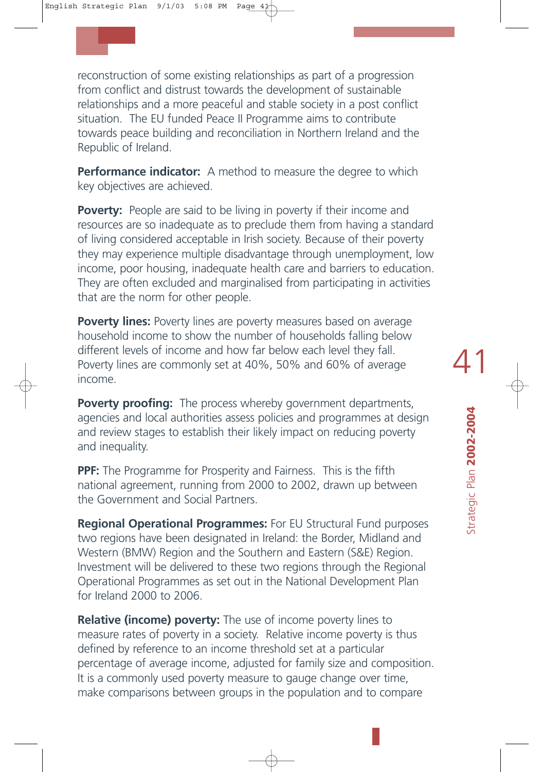reconstruction of some existing relationships as part of a progression from conflict and distrust towards the development of sustainable relationships and a more peaceful and stable society in a post conflict situation. The EU funded Peace II Programme aims to contribute towards peace building and reconciliation in Northern Ireland and the Republic of Ireland.

**Performance indicator:** A method to measure the degree to which key objectives are achieved.

**Poverty:** People are said to be living in poverty if their income and resources are so inadequate as to preclude them from having a standard of living considered acceptable in Irish society. Because of their poverty they may experience multiple disadvantage through unemployment, low income, poor housing, inadequate health care and barriers to education. They are often excluded and marginalised from participating in activities that are the norm for other people.

**Poverty lines:** Poverty lines are poverty measures based on average household income to show the number of households falling below different levels of income and how far below each level they fall. Poverty lines are commonly set at 40%, 50% and 60% of average income.

**Poverty proofing:** The process whereby government departments, agencies and local authorities assess policies and programmes at design and review stages to establish their likely impact on reducing poverty and inequality.

**PPF:** The Programme for Prosperity and Fairness. This is the fifth national agreement, running from 2000 to 2002, drawn up between the Government and Social Partners.

**Regional Operational Programmes:** For EU Structural Fund purposes two regions have been designated in Ireland: the Border, Midland and Western (BMW) Region and the Southern and Eastern (S&E) Region. Investment will be delivered to these two regions through the Regional Operational Programmes as set out in the National Development Plan for Ireland 2000 to 2006.

**Relative (income) poverty:** The use of income poverty lines to measure rates of poverty in a society. Relative income poverty is thus defined by reference to an income threshold set at a particular percentage of average income, adjusted for family size and composition. It is a commonly used poverty measure to gauge change over time, make comparisons between groups in the population and to compare

Strategic Plan **2002-2004** 

Strategic Plan 2002-2004